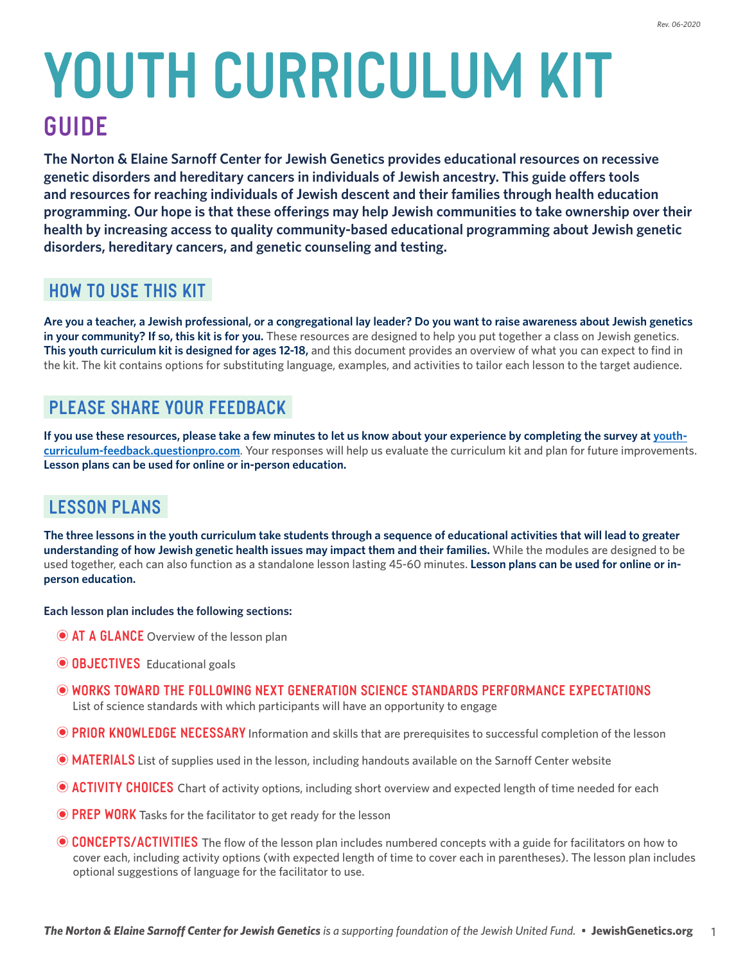# **youth Curriculum Kit GUIDE**

**The Norton & Elaine Sarnoff Center for Jewish Genetics provides educational resources on recessive genetic disorders and hereditary cancers in individuals of Jewish ancestry. This guide offers tools and resources for reaching individuals of Jewish descent and their families through health education programming. Our hope is that these offerings may help Jewish communities to take ownership over their health by increasing access to quality community-based educational programming about Jewish genetic disorders, hereditary cancers, and genetic counseling and testing.**

## **How to Use this Kit**

**Are you a teacher, a Jewish professional, or a congregational lay leader? Do you want to raise awareness about Jewish genetics in your community? If so, this kit is for you.** These resources are designed to help you put together a class on Jewish genetics. **This youth curriculum kit is designed for ages 12-18,** and this document provides an overview of what you can expect to find in the kit. The kit contains options for substituting language, examples, and activities to tailor each lesson to the target audience.

## **Please share your feedback**

**If you use these resources, please take a few minutes to let us know about your experience by completing the survey at [youth](https://youth-curriculum-feedback.questionpro.com/)[curriculum-feedback.questionpro.com](https://youth-curriculum-feedback.questionpro.com/)**. Your responses will help us evaluate the curriculum kit and plan for future improvements. **Lesson plans can be used for online or in-person education.** 

# **Lesson Plans**

**The three lessons in the youth curriculum take students through a sequence of educational activities that will lead to greater understanding of how Jewish genetic health issues may impact them and their families.** While the modules are designed to be used together, each can also function as a standalone lesson lasting 45-60 minutes. **Lesson plans can be used for online or inperson education.**

**Each lesson plan includes the following sections:**

- **AT A GLANCE** Overview of the lesson plan
- **OBJECTIVES** Educational goals
- **Works Toward the Following Next Generation Science Standards Performance Expectations** List of science standards with which participants will have an opportunity to engage
- **PRIOR KNOWLEDGE NECESSARY** Information and skills that are prerequisites to successful completion of the lesson
- **MATERIALS** List of supplies used in the lesson, including handouts available on the Sarnoff Center website
- **ACTIVITY CHOICES** Chart of activity options, including short overview and expected length of time needed for each
- **PREP WORK** Tasks for the facilitator to get ready for the lesson
- **CONCEPTS/ACTIVITIES** The flow of the lesson plan includes numbered concepts with a guide for facilitators on how to cover each, including activity options (with expected length of time to cover each in parentheses). The lesson plan includes optional suggestions of language for the facilitator to use.